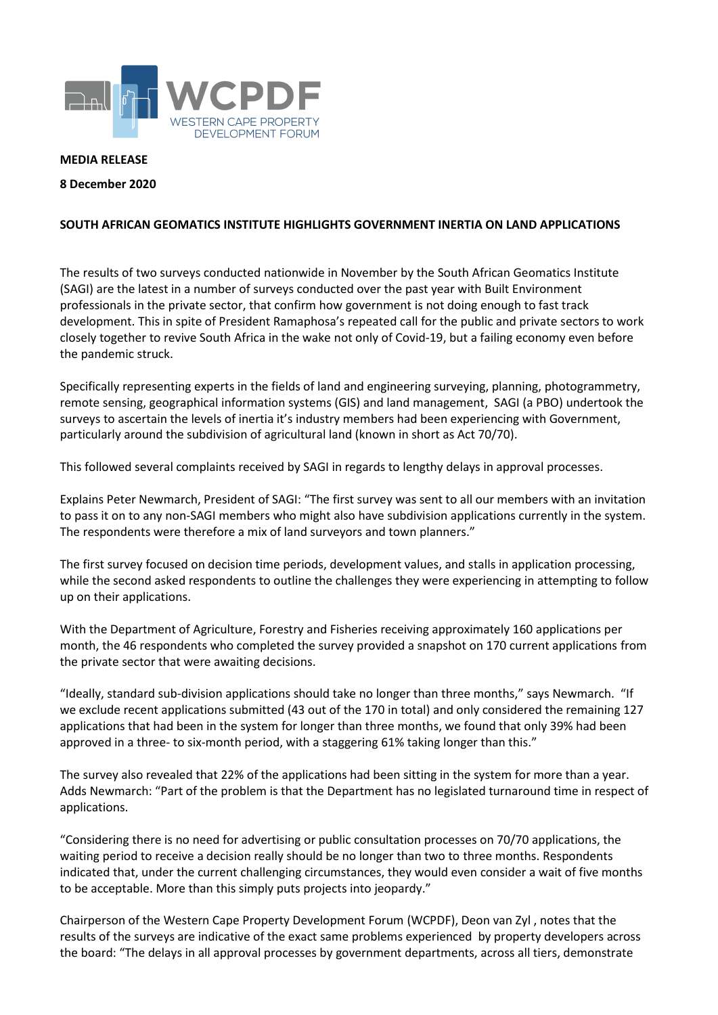

## **MEDIA RELEASE**

## **8 December 2020**

## **SOUTH AFRICAN GEOMATICS INSTITUTE HIGHLIGHTS GOVERNMENT INERTIA ON LAND APPLICATIONS**

The results of two surveys conducted nationwide in November by the South African Geomatics Institute (SAGI) are the latest in a number of surveys conducted over the past year with Built Environment professionals in the private sector, that confirm how government is not doing enough to fast track development. This in spite of President Ramaphosa's repeated call for the public and private sectors to work closely together to revive South Africa in the wake not only of Covid-19, but a failing economy even before the pandemic struck.

Specifically representing experts in the fields of land and engineering surveying, planning, photogrammetry, remote sensing, geographical information systems (GIS) and land management, SAGI (a PBO) undertook the surveys to ascertain the levels of inertia it's industry members had been experiencing with Government, particularly around the subdivision of agricultural land (known in short as Act 70/70).

This followed several complaints received by SAGI in regards to lengthy delays in approval processes.

Explains Peter Newmarch, President of SAGI: "The first survey was sent to all our members with an invitation to pass it on to any non-SAGI members who might also have subdivision applications currently in the system. The respondents were therefore a mix of land surveyors and town planners."

The first survey focused on decision time periods, development values, and stalls in application processing, while the second asked respondents to outline the challenges they were experiencing in attempting to follow up on their applications.

With the Department of Agriculture, Forestry and Fisheries receiving approximately 160 applications per month, the 46 respondents who completed the survey provided a snapshot on 170 current applications from the private sector that were awaiting decisions.

"Ideally, standard sub-division applications should take no longer than three months," says Newmarch. "If we exclude recent applications submitted (43 out of the 170 in total) and only considered the remaining 127 applications that had been in the system for longer than three months, we found that only 39% had been approved in a three- to six-month period, with a staggering 61% taking longer than this."

The survey also revealed that 22% of the applications had been sitting in the system for more than a year. Adds Newmarch: "Part of the problem is that the Department has no legislated turnaround time in respect of applications.

"Considering there is no need for advertising or public consultation processes on 70/70 applications, the waiting period to receive a decision really should be no longer than two to three months. Respondents indicated that, under the current challenging circumstances, they would even consider a wait of five months to be acceptable. More than this simply puts projects into jeopardy."

Chairperson of the Western Cape Property Development Forum (WCPDF), Deon van Zyl , notes that the results of the surveys are indicative of the exact same problems experienced by property developers across the board: "The delays in all approval processes by government departments, across all tiers, demonstrate